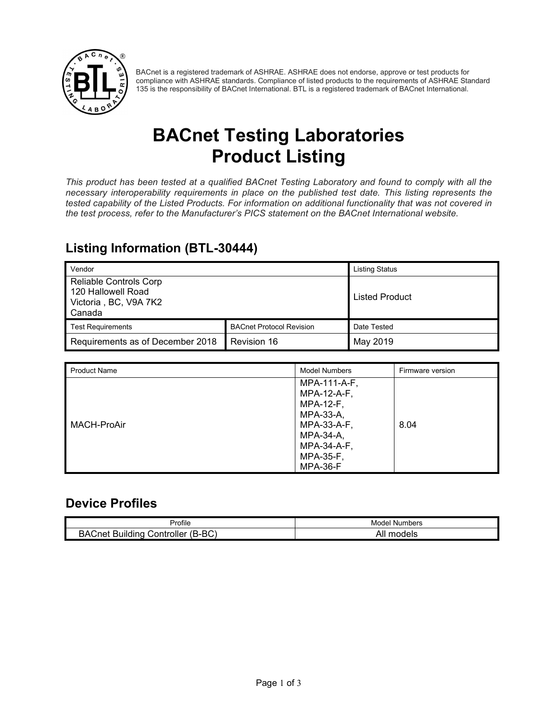

BACnet is a registered trademark of ASHRAE. ASHRAE does not endorse, approve or test products for compliance with ASHRAE standards. Compliance of listed products to the requirements of ASHRAE Standard 135 is the responsibility of BACnet International. BTL is a registered trademark of BACnet International.

# **BACnet Testing Laboratories Product Listing**

*This product has been tested at a qualified BACnet Testing Laboratory and found to comply with all the necessary interoperability requirements in place on the published test date. This listing represents the tested capability of the Listed Products. For information on additional functionality that was not covered in the test process, refer to the Manufacturer's PICS statement on the BACnet International website.*

#### **Listing Information (BTL-30444)**

| Vendor                                                                                 |                                 | <b>Listing Status</b> |
|----------------------------------------------------------------------------------------|---------------------------------|-----------------------|
| <b>Reliable Controls Corp</b><br>120 Hallowell Road<br>Victoria, BC, V9A 7K2<br>Canada |                                 | <b>Listed Product</b> |
| <b>Test Requirements</b>                                                               | <b>BACnet Protocol Revision</b> | Date Tested           |
| Requirements as of December 2018                                                       | Revision 16                     | May 2019              |

| <b>Product Name</b> | <b>Model Numbers</b>                                                                                                 | Firmware version |
|---------------------|----------------------------------------------------------------------------------------------------------------------|------------------|
| MACH-ProAir         | MPA-111-A-F,<br>MPA-12-A-F,<br><b>MPA-12-F,</b><br>MPA-33-A,<br>MPA-33-A-F,<br>MPA-34-A,<br>MPA-34-A-F,<br>MPA-35-F, | 8.04             |
|                     | MPA-36-F                                                                                                             |                  |

#### **Device Profiles**

|                                                    | Numbers             |
|----------------------------------------------------|---------------------|
| Profile                                            | Model               |
| $(B-BC)$<br>BA(<br>∶net<br>Controller∟<br>Building | models<br>Δ1<br>יור |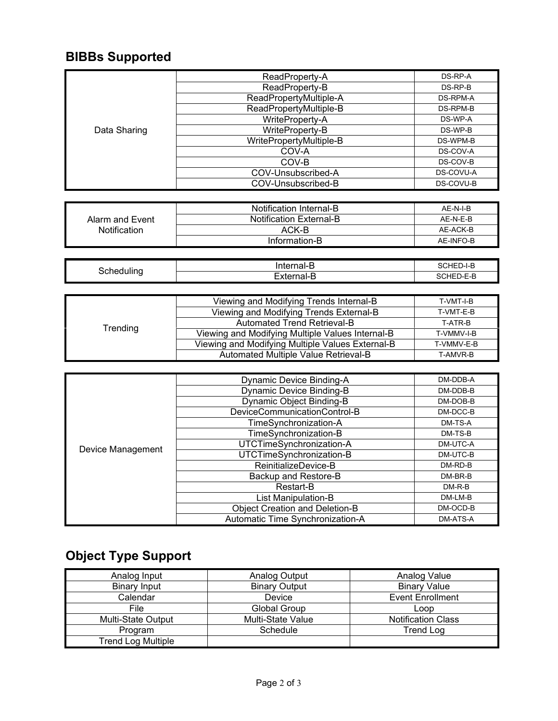### **BIBBs Supported**

|              | ReadProperty-A          | DS-RP-A   |
|--------------|-------------------------|-----------|
|              | ReadProperty-B          | DS-RP-B   |
|              | ReadPropertyMultiple-A  | DS-RPM-A  |
|              | ReadPropertyMultiple-B  | DS-RPM-B  |
|              | WriteProperty-A         | DS-WP-A   |
| Data Sharing | WriteProperty-B         | DS-WP-B   |
|              | WritePropertyMultiple-B | DS-WPM-B  |
|              | COV-A                   | DS-COV-A  |
|              | COV-B                   | DS-COV-B  |
|              | COV-Unsubscribed-A      | DS-COVU-A |
|              | COV-Unsubscribed-B      | DS-COVU-B |

|                     | Notification Internal-B        | AF-N-I-B  |
|---------------------|--------------------------------|-----------|
| Alarm and Event     | <b>Notification External-B</b> | AF-N-F-B  |
| <b>Notification</b> | ACK-B                          | AE-ACK-B  |
|                     | Information-B                  | AE-INFO-B |

| ำ | -------<br>ше<br>на<br>∼ | י<br>$-1$ –                                                   |
|---|--------------------------|---------------------------------------------------------------|
|   |                          | -<br>$\overline{\phantom{0}}$<br>. . HI H<br>. .⊢<br>---<br>י |

| Trending | Viewing and Modifying Trends Internal-B          | T-VMT-I-B  |
|----------|--------------------------------------------------|------------|
|          | Viewing and Modifying Trends External-B          | T-VMT-E-B  |
|          | Automated Trend Retrieval-B                      | T-ATR-B    |
|          | Viewing and Modifying Multiple Values Internal-B | T-VMMV-I-B |
|          | Viewing and Modifying Multiple Values External-B | T-VMMV-E-B |
|          | Automated Multiple Value Retrieval-B             | T-AMVR-B   |

| Device Management | <b>Dynamic Device Binding-A</b>       | DM-DDB-A |
|-------------------|---------------------------------------|----------|
|                   | <b>Dynamic Device Binding-B</b>       | DM-DDB-B |
|                   | <b>Dynamic Object Binding-B</b>       | DM-DOB-B |
|                   | DeviceCommunicationControl-B          | DM-DCC-B |
|                   | TimeSynchronization-A                 | DM-TS-A  |
|                   | TimeSynchronization-B                 | DM-TS-B  |
|                   | UTCTimeSynchronization-A              | DM-UTC-A |
|                   | UTCTimeSynchronization-B              | DM-UTC-B |
|                   | ReinitializeDevice-B                  | DM-RD-B  |
|                   | Backup and Restore-B                  | DM-BR-B  |
|                   | Restart-B                             | $DM-R-B$ |
|                   | List Manipulation-B                   | DM-LM-B  |
|                   | <b>Object Creation and Deletion-B</b> | DM-OCD-B |
|                   | Automatic Time Synchronization-A      | DM-ATS-A |

## **Object Type Support**

| Analog Input              | Analog Output        | Analog Value              |
|---------------------------|----------------------|---------------------------|
| <b>Binary Input</b>       | <b>Binary Output</b> | <b>Binary Value</b>       |
| Calendar                  | Device               | <b>Event Enrollment</b>   |
| File                      | Global Group         | Loop                      |
| <b>Multi-State Output</b> | Multi-State Value    | <b>Notification Class</b> |
| Program                   | Schedule             | <b>Trend Log</b>          |
| <b>Trend Log Multiple</b> |                      |                           |